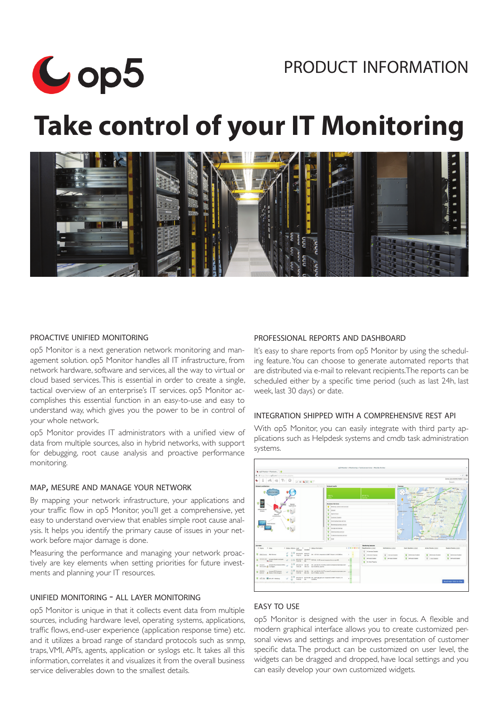# product information



# **Take control of your IT Monitoring**



## proactive unified monitoring

op5 Monitor is a next generation network monitoring and management solution. op5 Monitor handles all IT infrastructure, from network hardware, software and services, all the way to virtual or cloud based services. This is essential in order to create a single, tactical overview of an enterprise's IT services. op5 Monitor accomplishes this essential function in an easy-to-use and easy to understand way, which gives you the power to be in control of your whole network.

op5 Monitor provides IT administrators with a unified view of data from multiple sources, also in hybrid networks, with support for debugging, root cause analysis and proactive performance monitoring.

#### map, mesure and manage your network

By mapping your network infrastructure, your applications and your traffic flow in op5 Monitor, you'll get a comprehensive, yet easy to understand overview that enables simple root cause analysis. It helps you identify the primary cause of issues in your network before major damage is done.

Measuring the performance and managing your network proactively are key elements when setting priorities for future investments and planning your IT resources.

#### unified monitoring - all layer monitoring

op5 Monitor is unique in that it collects event data from multiple sources, including hardware level, operating systems, applications, traffic flows, end-user experience (application response time) etc. and it utilizes a broad range of standard protocols such as snmp, traps, VMI, API's, agents, application or syslogs etc. It takes all this information, correlates it and visualizes it from the overall business service deliverables down to the smallest details.

#### professional reports and dashboard

It's easy to share reports from op5 Monitor by using the scheduling feature. You can choose to generate automated reports that are distributed via e-mail to relevant recipients.The reports can be scheduled either by a specific time period (such as last 24h, last week, last 30 days) or date.

#### integration shipped with a comprehensive rest api

With op5 Monitor, you can easily integrate with third party applications such as Helpdesk systems and cmdb task administration systems.

| C and Monitor - Monitorin @                                                                                                                                                                               |                                                                        |                                                      |                              |                                                                             |                                                 |                                                                            |
|-----------------------------------------------------------------------------------------------------------------------------------------------------------------------------------------------------------|------------------------------------------------------------------------|------------------------------------------------------|------------------------------|-----------------------------------------------------------------------------|-------------------------------------------------|----------------------------------------------------------------------------|
| + Bitter/Sense Scott Instantials shaked                                                                                                                                                                   |                                                                        |                                                      |                              |                                                                             |                                                 | $ve \equiv$                                                                |
| c                                                                                                                                                                                                         |                                                                        |                                                      |                              |                                                                             |                                                 | Demo User at demo master (1.6g out)                                        |
| $\circ$ $\circ$ $\circ$ $\circ$ $\circ$                                                                                                                                                                   |                                                                        |                                                      |                              |                                                                             |                                                 | Search                                                                     |
| <b>Natural architecture</b>                                                                                                                                                                               | <b>Nebecck health</b>                                                  |                                                      | <b>ADD</b><br>Georgia        |                                                                             |                                                 |                                                                            |
| Cloud Services                                                                                                                                                                                            |                                                                        |                                                      |                              | $\sim$<br>$\leftarrow$                                                      | <b>Lidegers</b><br>tawa Shivon                  | Map Satellity<br>Akerala<br>Linksping convenient                           |
|                                                                                                                                                                                                           | 100%                                                                   | 97.97%                                               |                              | sugarate Weenberg<br>$\sim$<br>delala via Corp<br>C. Philbidge              | o.<br>Fallsborn                                 | <b>Mate</b>                                                                |
| 6.02% to                                                                                                                                                                                                  |                                                                        |                                                      |                              | <b>Higgs</b>                                                                |                                                 |                                                                            |
| P<br>e<br>1.59%<br>Senare                                                                                                                                                                                 | <b>Duniness Services</b>                                               |                                                      | 股向面                          | Swartpure Airgan<br><b><i>Changer B.</i></b><br>a negativ<br><b>Exercis</b> | <b>British Australia</b>                        |                                                                            |
| Applications                                                                                                                                                                                              | <b>ID</b> Webshop randomized example                                   |                                                      |                              | $\alpha$<br>Geth Churg                                                      | <b>Mekbainer</b><br>funksiona's<br><b>Barás</b> | <b>MARK LENGAL</b><br>Victorian                                            |
| <b>Mobile Device</b><br>Access                                                                                                                                                                            | <b>D</b> leaves                                                        |                                                      |                              | Fredericksver<br><b>In additional form</b>                                  |                                                 | 38<br>Vetlanda                                                             |
| <b>Metupok</b>                                                                                                                                                                                            | <b>D</b> Heriothead                                                    |                                                      |                              | lista i                                                                     | Strug<br>m<br><b>Virginia</b>                   | $\sim$                                                                     |
| Internation                                                                                                                                                                                               | Casterer Support                                                       |                                                      |                              | Viders<br><b>Alerey D</b>                                                   | Vieno N<br><b>Fallenberg N</b>                  |                                                                            |
|                                                                                                                                                                                                           | <b>Q</b> Investigated territor                                         |                                                      |                              | <b>Coloradore</b>                                                           |                                                 |                                                                            |
| Client Access                                                                                                                                                                                             | <b>Uskelro ballette service</b>                                        |                                                      |                              | œ<br><b>Follywood</b>                                                       |                                                 |                                                                            |
|                                                                                                                                                                                                           | <b>C</b> Elizabe and Bachup                                            |                                                      |                              | <b>Grana</b>                                                                |                                                 |                                                                            |
|                                                                                                                                                                                                           | <b>C</b> Sales business service                                        |                                                      |                              |                                                                             | <b>GR</b><br><b>Callshame</b>                   |                                                                            |
|                                                                                                                                                                                                           | Productor business service<br><b>B</b> KW                              |                                                      |                              | melsingborg<br><b>Marchine</b><br><b>Niterada</b>                           | someted planning                                | <b>FAST AVION</b>                                                          |
|                                                                                                                                                                                                           |                                                                        |                                                      |                              |                                                                             |                                                 | Mandale E2014 Selfano CC RED (E2009), Grande Terra (Char Room) a near entr |
| <b>List view</b>                                                                                                                                                                                          | 周户(第1                                                                  | <b>Monitoring leatures</b>                           |                              |                                                                             |                                                 |                                                                            |
| 4 Status Actions Leat 4 4 Status Information<br>0 None<br>0 Algo<br>Checked Duration                                                                                                                      | $+000000$                                                              | Five Detection enabled                               | <b>Notifications</b> enabled | <b>Exet Handles entited</b>                                                 | <b>Antive Checks analyst</b>                    | <b>Passive Checks enabled</b>                                              |
| BW greases mean<br><b>C</b> das Concar das Concar                                                                                                                                                         | OK - 127.0.0.1 empowds to KMP, Packet 1, 45 0.000 mg<br>$\overline{1}$ | C 14 Services Chapters                               |                              |                                                                             |                                                 |                                                                            |
| 1400.13 22m 9th                                                                                                                                                                                           | ×.                                                                     | CI 2 Services Floorance                              | <b>Q</b> 1 Service Disabled  | <b>C</b> Al Cervices Enabled                                                | <b>C</b> All Services Enabled                   | <b>C</b> Al Services Enabled                                               |
| anazon ant Amazon Electo Compute<br>C. E. 2014-06-10 194-6-51m 10P-0K - 5.157 second-response firm on port 80<br>m.<br><b>ALCOHOL</b><br>14/07/90 Nis                                                     | $6 - 8$                                                                | <b>C All Fords Enabled</b><br>FO. Ale House Flowerer | C All Hosts Enabled          | <b>C</b> Al Posts English                                                   | <b>Q</b>   I Has Dealer                         | C Al Hots Enabled                                                          |
| B.W. 2014-06-10 134 18h DK - 612-54-214-19-195.ca week-2.compute.amazonaws.com<br>ancon Angold Descripti p<br>۰<br>consider a colleges<br>(C) 14:0724 19m25s ris 175.407ms, lost 0%                       | <b>AN AN</b>                                                           |                                                      |                              |                                                                             |                                                 |                                                                            |
| B.W. 2014-00-10 134 lBr  OK - m2-54-214-19-177.us work 2.compute.amaconomi.com<br>$Q$ and $Q$<br>Amazon EC2 Instance<br>w<br>ACPAIN A University Of A Company<br>(C) 14:07:49 20m 42s m 171,300mg lost 0% | 17.13                                                                  |                                                      |                              |                                                                             |                                                 |                                                                            |
| B. M. 2014 0510 54 101-281 OK - split glip ad commission to KMP. Packet Little<br>C will did Save AP I Govern<br>$\infty$<br>140502 25c 12250mg                                                           | a la                                                                   |                                                      |                              |                                                                             |                                                 | Need Help? Click to Chat                                                   |

#### easy to use

op5 Monitor is designed with the user in focus. A flexible and modern graphical interface allows you to create customized personal views and settings and improves presentation of customer specific data. The product can be customized on user level, the widgets can be dragged and dropped, have local settings and you can easily develop your own customized widgets.